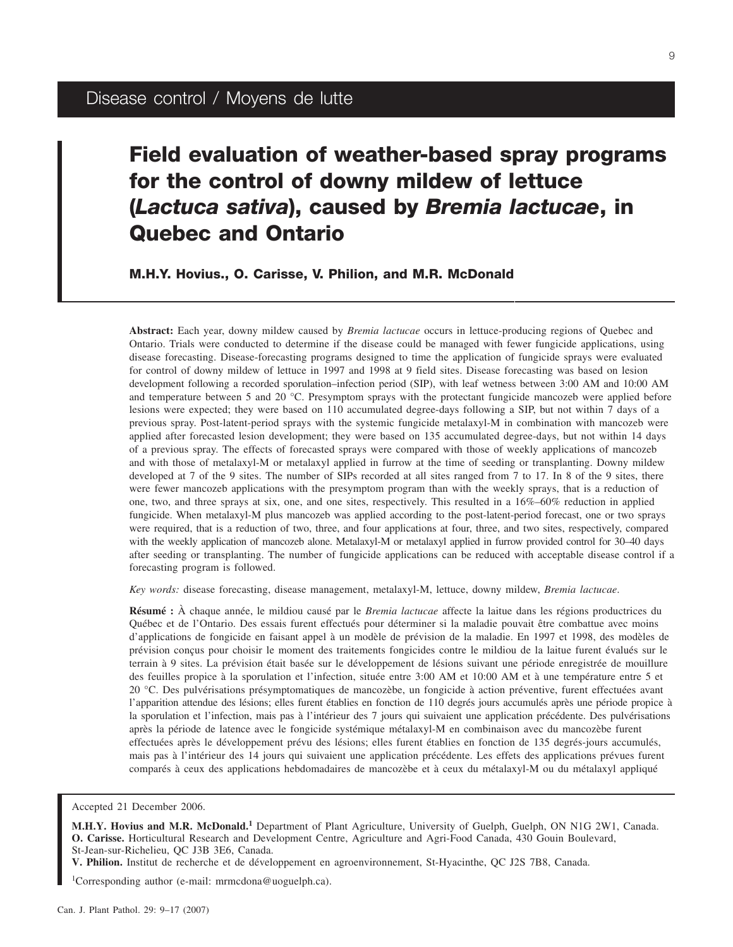# **Field evaluation of weather-based spray programs for the control of downy mildew of lettuce (***Lactuca sativa***), caused by** *Bremia lactucae***, in Quebec and Ontario**

**M.H.Y. Hovius., O. Carisse, V. Philion, and M.R. McDonald**

**Abstract:** Each year, downy mildew caused by *Bremia lactucae* occurs in lettuce-producing regions of Quebec and Ontario. Trials were conducted to determine if the disease could be managed with fewer fungicide applications, using disease forecasting. Disease-forecasting programs designed to time the application of fungicide sprays were evaluated for control of downy mildew of lettuce in 1997 and 1998 at 9 field sites. Disease forecasting was based on lesion development following a recorded sporulation–infection period (SIP), with leaf wetness between 3:00 AM and 10:00 AM and temperature between 5 and 20 °C. Presymptom sprays with the protectant fungicide mancozeb were applied before lesions were expected; they were based on 110 accumulated degree-days following a SIP, but not within 7 days of a previous spray. Post-latent-period sprays with the systemic fungicide metalaxyl-M in combination with mancozeb were applied after forecasted lesion development; they were based on 135 accumulated degree-days, but not within 14 days of a previous spray. The effects of forecasted sprays were compared with those of weekly applications of mancozeb and with those of metalaxyl-M or metalaxyl applied in furrow at the time of seeding or transplanting. Downy mildew developed at 7 of the 9 sites. The number of SIPs recorded at all sites ranged from 7 to 17. In 8 of the 9 sites, there were fewer mancozeb applications with the presymptom program than with the weekly sprays, that is a reduction of one, two, and three sprays at six, one, and one sites, respectively. This resulted in a 16%–60% reduction in applied fungicide. When metalaxyl-M plus mancozeb was applied according to the post-latent-period forecast, one or two sprays were required, that is a reduction of two, three, and four applications at four, three, and two sites, respectively, compared with the weekly application of mancozeb alone. Metalaxyl-M or metalaxyl applied in furrow provided control for 30–40 days after seeding or transplanting. The number of fungicide applications can be reduced with acceptable disease control if a forecasting program is followed.

*Key words:* disease forecasting, disease management, metalaxyl-M, lettuce, downy mildew, *Bremia lactucae*.

**Résumé :** À chaque année, le mildiou causé par le *Bremia lactucae* affecte la laitue dans les régions productr[ices](#page-8-0) du 17 Québec et de l'Ontario. Des essais furent effectués pour déterminer si la maladie pouvait être combattue avec moins d'applications de fongicide en faisant appel à un modèle de prévision de la maladie. En 1997 et 1998, des modèles de prévision conçus pour choisir le moment des traitements fongicides contre le mildiou de la laitue furent évalués sur le terrain à 9 sites. La prévision était basée sur le développement de lésions suivant une période enregistrée de mouillure des feuilles propice à la sporulation et l'infection, située entre 3:00 AM et 10:00 AM et à une température entre 5 et 20 °C. Des pulvérisations présymptomatiques de mancozèbe, un fongicide à action préventive, furent effectuées avant l'apparition attendue des lésions; elles furent établies en fonction de 110 degrés jours accumulés après une période propice à la sporulation et l'infection, mais pas à l'intérieur des 7 jours qui suivaient une application précédente. Des pulvérisations après la période de latence avec le fongicide systémique métalaxyl-M en combinaison avec du mancozèbe furent effectuées après le développement prévu des lésions; elles furent établies en fonction de 135 degrés-jours accumulés, mais pas à l'intérieur des 14 jours qui suivaient une application précédente. Les effets des applications prévues furent comparés à ceux des applications hebdomadaires de mancozèbe et à ceux du métalaxyl-M ou du métalaxyl appliqué

**V. Philion.** Institut de recherche et de développement en agroenvironnement, St-Hyacinthe, QC J2S 7B8, Canada.

1 Corresponding author (e-mail: mrmcdona@uoguelph.ca).

Accepted 21 December 2006.

**M.H.Y. Hovius and M.R. McDonald.<sup>1</sup>** Department of Plant Agriculture, University of Guelph, Guelph, ON N1G 2W1, Canada. **O. Carisse.** Horticultural Research and Development Centre, Agriculture and Agri-Food Canada, 430 Gouin Boulevard, St-Jean-sur-Richelieu, QC J3B 3E6, Canada.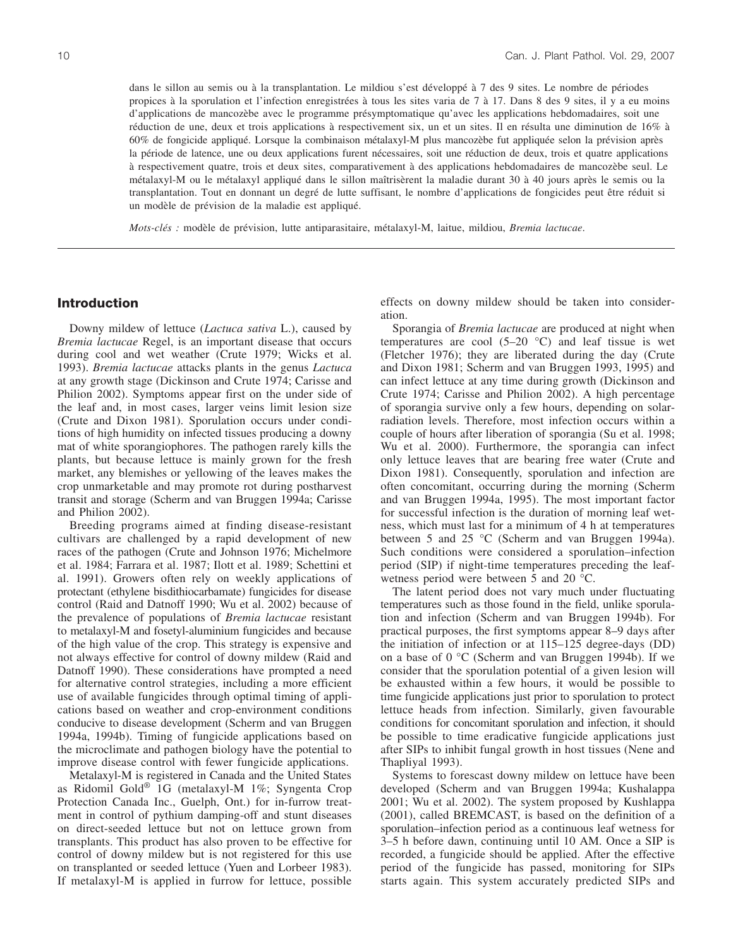dans le sillon au semis ou à la transplantation. Le mildiou s'est développé à 7 des 9 sites. Le nombre de périodes propices à la sporulation et l'infection enregistrées à tous les sites varia de 7 à 17. Dans 8 des 9 sites, il y a eu moins d'applications de mancozèbe avec le programme présymptomatique qu'avec les applications hebdomadaires, soit une réduction de une, deux et trois applications à respectivement six, un et un sites. Il en résulta une diminution de 16% à 60% de fongicide appliqué. Lorsque la combinaison métalaxyl-M plus mancozèbe fut appliquée selon la prévision après la période de latence, une ou deux applications furent nécessaires, soit une réduction de deux, trois et quatre applications à respectivement quatre, trois et deux sites, comparativement à des applications hebdomadaires de mancozèbe seul. Le métalaxyl-M ou le métalaxyl appliqué dans le sillon maîtrisèrent la maladie durant 30 à 40 jours après le semis ou la transplantation. Tout en donnant un degré de lutte suffisant, le nombre d'applications de fongicides peut être réduit si un modèle de prévision de la maladie est appliqué.

*Mots-clés :* modèle de prévision, lutte antiparasitaire, métalaxyl-M, laitue, mildiou, *Bremia lactucae*.

# **Introduction**

Downy mildew of lettuce (*Lactuca sativa* L.), caused by *Bremia lactucae* Regel, is an important disease that occurs during cool and wet weather (Crute 1979; Wicks et al. 1993). *Bremia lactucae* attacks plants in the genus *Lactuca* at any growth stage (Dickinson and Crute 1974; Carisse and Philion 2002). Symptoms appear first on the under side of the leaf and, in most cases, larger veins limit lesion size (Crute and Dixon 1981). Sporulation occurs under conditions of high humidity on infected tissues producing a downy mat of white sporangiophores. The pathogen rarely kills the plants, but because lettuce is mainly grown for the fresh market, any blemishes or yellowing of the leaves makes the crop unmarketable and may promote rot during postharvest transit and storage (Scherm and van Bruggen 1994a; Carisse and Philion 2002).

Breeding programs aimed at finding disease-resistant cultivars are challenged by a rapid development of new races of the pathogen (Crute and Johnson 1976; Michelmore et al. 1984; Farrara et al. 1987; Ilott et al. 1989; Schettini et al. 1991). Growers often rely on weekly applications of protectant (ethylene bisdithiocarbamate) fungicides for disease control (Raid and Datnoff 1990; Wu et al. 2002) because of the prevalence of populations of *Bremia lactucae* resistant to metalaxyl-M and fosetyl-aluminium fungicides and because of the high value of the crop. This strategy is expensive and not always effective for control of downy mildew (Raid and Datnoff 1990). These considerations have prompted a need for alternative control strategies, including a more efficient use of available fungicides through optimal timing of applications based on weather and crop-environment conditions conducive to disease development (Scherm and van Bruggen 1994a, 1994b). Timing of fungicide applications based on the microclimate and pathogen biology have the potential to improve disease control with fewer fungicide applications.

Metalaxyl-M is registered in Canada and the United States as Ridomil Gold® 1G (metalaxyl-M 1%; Syngenta Crop Protection Canada Inc., Guelph, Ont.) for in-furrow treatment in control of pythium damping-off and stunt diseases on direct-seeded lettuce but not on lettuce grown from transplants. This product has also proven to be effective for control of downy mildew but is not registered for this use on transplanted or seeded lettuce (Yuen and Lorbeer 1983). If metalaxyl-M is applied in furrow for lettuce, possible effects on downy mildew should be taken into consideration.

Sporangia of *Bremia lactucae* are produced at night when temperatures are cool  $(5-20 \degree C)$  and leaf tissue is wet (Fletcher 1976); they are liberated during the day (Crute and Dixon 1981; Scherm and van Bruggen 1993, 1995) and can infect lettuce at any time during growth (Dickinson and Crute 1974; Carisse and Philion 2002). A high percentage of sporangia survive only a few hours, depending on solarradiation levels. Therefore, most infection occurs within a couple of hours after liberation of sporangia (Su et al. 1998; Wu et al. 2000). Furthermore, the sporangia can infect only lettuce leaves that are bearing free water (Crute and Dixon 1981). Consequently, sporulation and infection are often concomitant, occurring during the morning (Scherm and van Bruggen 1994a, 1995). The most important factor for successful infection is the duration of morning leaf wetness, which must last for a minimum of 4 h at temperatures between 5 and 25 °C (Scherm and van Bruggen 1994a). Such conditions were considered a sporulation–infection period (SIP) if night-time temperatures preceding the leafwetness period were between 5 and 20 °C.

The latent period does not vary much under fluctuating temperatures such as those found in the field, unlike sporulation and infection (Scherm and van Bruggen 1994b). For practical purposes, the first symptoms appear 8–9 days after the initiation of infection or at 115–125 degree-days (DD) on a base of 0 °C (Scherm and van Bruggen 1994b). If we consider that the sporulation potential of a given lesion will be exhausted within a few hours, it would be possible to time fungicide applications just prior to sporulation to protect lettuce heads from infection. Similarly, given favourable conditions for concomitant sporulation and infection, it should be possible to time eradicative fungicide applications just after SIPs to inhibit fungal growth in host tissues (Nene and Thapliyal 1993).

Systems to forescast downy mildew on lettuce have been developed (Scherm and van Bruggen 1994a; Kushalappa 2001; Wu et al. 2002). The system proposed by Kushlappa (2001), called BREMCAST, is based on the definition of a sporulation–infection period as a continuous leaf wetness for 3–5 h before dawn, continuing until 10 AM. Once a SIP is recorded, a fungicide should be applied. After the effective period of the fungicide has passed, monitoring for SIPs starts again. This system accurately predicted SIPs and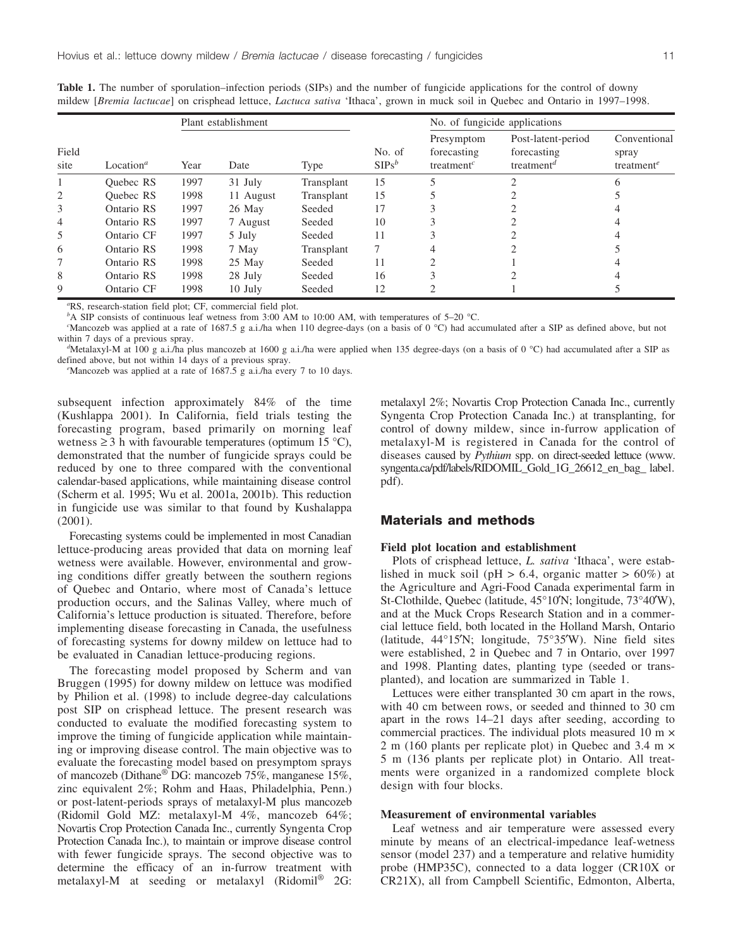|               | Location <sup><math>a</math></sup> | Plant establishment |           |            |                    | No. of fungicide applications                                    |                                                             |                                                              |
|---------------|------------------------------------|---------------------|-----------|------------|--------------------|------------------------------------------------------------------|-------------------------------------------------------------|--------------------------------------------------------------|
| Field<br>site |                                    | Year                | Date      | Type       | No. of<br>$SIPS^b$ | Presymptom<br>forecasting<br>treatment <sup><math>c</math></sup> | Post-latent-period<br>forecasting<br>treatment <sup>a</sup> | Conventional<br>spray<br>treatment <sup><math>e</math></sup> |
|               | Ouebec RS                          | 1997                | 31 July   | Transplant | 15                 |                                                                  |                                                             | 6                                                            |
| 2             | <b>Ouebec RS</b>                   | 1998                | 11 August | Transplant | 15                 |                                                                  |                                                             |                                                              |
| 3             | Ontario RS                         | 1997                | 26 May    | Seeded     | 17                 |                                                                  |                                                             |                                                              |
| 4             | Ontario RS                         | 1997                | 7 August  | Seeded     | 10                 |                                                                  |                                                             |                                                              |
| 5             | Ontario CF                         | 1997                | 5 July    | Seeded     | 11                 |                                                                  |                                                             |                                                              |
| 6             | Ontario RS                         | 1998                | 7 May     | Transplant | 7                  |                                                                  |                                                             |                                                              |
|               | Ontario RS                         | 1998                | 25 May    | Seeded     | 11                 |                                                                  |                                                             |                                                              |
| 8             | Ontario RS                         | 1998                | 28 July   | Seeded     | 16                 |                                                                  |                                                             |                                                              |
| 9             | Ontario CF                         | 1998                | $10$ July | Seeded     | 12                 |                                                                  |                                                             |                                                              |

**Table 1.** The number of sporulation–infection periods (SIPs) and the number of fungicide applications for the control of downy mildew [*Bremia lactucae*] on crisphead lettuce, *Lactuca sativa* 'Ithaca', grown in muck soil in Quebec and Ontario in 1997–1998.

*a* RS, research-station field plot; CF, commercial field plot.

*b*<sup>A</sup> SIP consists of continuous leaf wetness from 3:00 AM to 10:00 AM, with temperatures of 5–20 °C.

<sup>c</sup>Mancozeb was applied at a rate of 1687.5 g a.i./ha when 110 degree-days (on a basis of 0 °C) had accumulated after a SIP as defined above, but not within 7 days of a previous spray.

<sup>d</sup>Metalaxyl-M at 100 g a.i./ha plus mancozeb at 1600 g a.i./ha were applied when 135 degree-days (on a basis of 0 °C) had accumulated after a SIP as defined above, but not within 14 days of a previous spray.

Mancozeb was applied at a rate of 1687.5 g a.i./ha every 7 to 10 days.

subsequent infection approximately 84% of the time (Kushlappa 2001). In California, field trials testing the forecasting program, based primarily on morning leaf wetness  $\geq$  3 h with favourable temperatures (optimum 15 °C), demonstrated that the number of fungicide sprays could be reduced by one to three compared with the conventional calendar-based applications, while maintaining disease control (Scherm et al. 1995; Wu et al. 2001a, 2001b). This reduction in fungicide use was similar to that found by Kushalappa (2001).

Forecasting systems could be implemented in most Canadian lettuce-producing areas provided that data on morning leaf wetness were available. However, environmental and growing conditions differ greatly between the southern regions of Quebec and Ontario, where most of Canada's lettuce production occurs, and the Salinas Valley, where much of California's lettuce production is situated. Therefore, before implementing disease forecasting in Canada, the usefulness of forecasting systems for downy mildew on lettuce had to be evaluated in Canadian lettuce-producing regions.

The forecasting model proposed by Scherm and van Bruggen (1995) for downy mildew on lettuce was modified by Philion et al. (1998) to include degree-day calculations post SIP on crisphead lettuce. The present research was conducted to evaluate the modified forecasting system to improve the timing of fungicide application while maintaining or improving disease control. The main objective was to evaluate the forecasting model based on presymptom sprays of mancozeb (Dithane® DG: mancozeb 75%, manganese 15%, zinc equivalent 2%; Rohm and Haas, Philadelphia, Penn.) or post-latent-periods sprays of metalaxyl-M plus mancozeb (Ridomil Gold MZ: metalaxyl-M 4%, mancozeb 64%; Novartis Crop Protection Canada Inc., currently Syngenta Crop Protection Canada Inc.), to maintain or improve disease control with fewer fungicide sprays. The second objective was to determine the efficacy of an in-furrow treatment with metalaxyl-M at seeding or metalaxyl (Ridomil<sup>®</sup> 2G:

metalaxyl 2%; Novartis Crop Protection Canada Inc., currently Syngenta Crop Protection Canada Inc.) at transplanting, for control of downy mildew, since in-furrow application of metalaxyl-M is registered in Canada for the control of diseases caused by *Pythium* spp. on direct-seeded lettuce (www. syngenta.ca/pdf/labels/RIDOMIL\_Gold\_1G\_26612\_en\_bag\_ label. pdf).

# **Materials and methods**

#### **Field plot location and establishment**

Plots of crisphead lettuce, *L. sativa* 'Ithaca', were established in muck soil (pH  $> 6.4$ , organic matter  $> 60\%$ ) at the Agriculture and Agri-Food Canada experimental farm in St-Clothilde, Quebec (latitude, 45°10′N; longitude, 73°40′W), and at the Muck Crops Research Station and in a commercial lettuce field, both located in the Holland Marsh, Ontario (latitude, 44°15′N; longitude, 75°35′W). Nine field sites were established, 2 in Quebec and 7 in Ontario, over 1997 and 1998. Planting dates, planting type (seeded or transplanted), and location are summarized in Table 1.

Lettuces were either transplanted 30 cm apart in the rows, with 40 cm between rows, or seeded and thinned to 30 cm apart in the rows 14–21 days after seeding, according to commercial practices. The individual plots measured 10 m × 2 m (160 plants per replicate plot) in Quebec and 3.4 m × 5 m (136 plants per replicate plot) in Ontario. All treatments were organized in a randomized complete block design with four blocks.

#### **Measurement of environmental variables**

Leaf wetness and air temperature were assessed every minute by means of an electrical-impedance leaf-wetness sensor (model 237) and a temperature and relative humidity probe (HMP35C), connected to a data logger (CR10X or CR21X), all from Campbell Scientific, Edmonton, Alberta,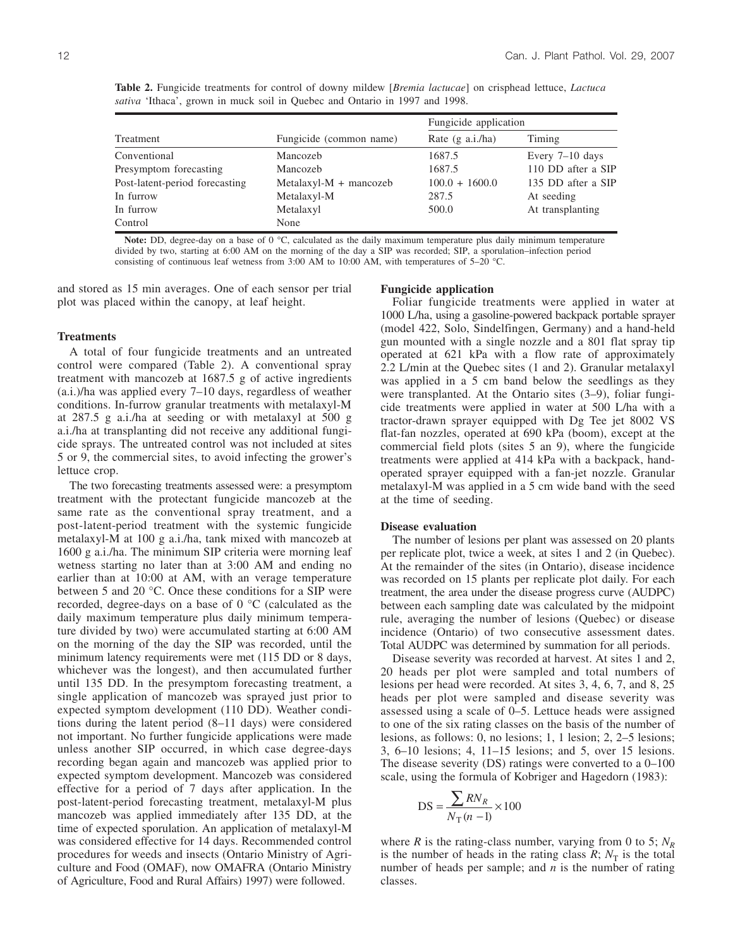|           | <i>sativa</i> 'Ithaca', grown in muck soil in Quebec and Ontario in 1997 and 1998. |                           |        |  |
|-----------|------------------------------------------------------------------------------------|---------------------------|--------|--|
|           |                                                                                    | Fungicide application     |        |  |
| Treatment | Fungicide (common name)                                                            | Rate $(\sigma a i / h a)$ | Timino |  |

**Table 2.** Fungicide treatments for control of downy mildew [*Bremia lactucae*] on crisphead lettuce, *Lactuca*

|                                |                          | r ungicius application    |                    |  |
|--------------------------------|--------------------------|---------------------------|--------------------|--|
| Treatment                      | Fungicide (common name)  | Rate $(g \nabla a.i./ha)$ | Timing             |  |
| Conventional                   | Mancozeb                 | 1687.5                    | Every $7-10$ days  |  |
| Presymptom forecasting         | Mancozeb                 | 1687.5                    | 110 DD after a SIP |  |
| Post-latent-period forecasting | $MetalaxyI-M + mancozeb$ | $100.0 + 1600.0$          | 135 DD after a SIP |  |
| In furrow                      | Metalaxyl-M              | 287.5                     | At seeding         |  |
| In furrow                      | Metalaxyl                | 500.0                     | At transplanting   |  |
| Control                        | None                     |                           |                    |  |
|                                |                          |                           |                    |  |

**Note:** DD, degree-day on a base of 0 °C, calculated as the daily maximum temperature plus daily minimum temperature divided by two, starting at 6:00 AM on the morning of the day a SIP was recorded; SIP, a sporulation–infection period consisting of continuous leaf wetness from 3:00 AM to 10:00 AM, with temperatures of 5–20 °C.

and stored as 15 min averages. One of each sensor per trial plot was placed within the canopy, at leaf height.

#### **Treatments**

A total of four fungicide treatments and an untreated control were compared (Table 2). A conventional spray treatment with mancozeb at 1687.5 g of active ingredients (a.i.)/ha was applied every 7–10 days, regardless of weather conditions. In-furrow granular treatments with metalaxyl-M at 287.5 g a.i./ha at seeding or with metalaxyl at 500 g a.i./ha at transplanting did not receive any additional fungicide sprays. The untreated control was not included at sites 5 or 9, the commercial sites, to avoid infecting the grower's lettuce crop.

The two forecasting treatments assessed were: a presymptom treatment with the protectant fungicide mancozeb at the same rate as the conventional spray treatment, and a post-latent-period treatment with the systemic fungicide metalaxyl-M at 100 g a.i./ha, tank mixed with mancozeb at 1600 g a.i./ha. The minimum SIP criteria were morning leaf wetness starting no later than at 3:00 AM and ending no earlier than at 10:00 at AM, with an verage temperature between 5 and 20 °C. Once these conditions for a SIP were recorded, degree-days on a base of 0 °C (calculated as the daily maximum temperature plus daily minimum temperature divided by two) were accumulated starting at 6:00 AM on the morning of the day the SIP was recorded, until the minimum latency requirements were met (115 DD or 8 days, whichever was the longest), and then accumulated further until 135 DD. In the presymptom forecasting treatment, a single application of mancozeb was sprayed just prior to expected symptom development (110 DD). Weather conditions during the latent period (8–11 days) were considered not important. No further fungicide applications were made unless another SIP occurred, in which case degree-days recording began again and mancozeb was applied prior to expected symptom development. Mancozeb was considered effective for a period of 7 days after application. In the post-latent-period forecasting treatment, metalaxyl-M plus mancozeb was applied immediately after 135 DD, at the time of expected sporulation. An application of metalaxyl-M was considered effective for 14 days. Recommended control procedures for weeds and insects (Ontario Ministry of Agriculture and Food (OMAF), now OMAFRA (Ontario Ministry of Agriculture, Food and Rural Affairs) 1997) were followed.

#### **Fungicide application**

Foliar fungicide treatments were applied in water at 1000 L/ha, using a gasoline-powered backpack portable sprayer (model 422, Solo, Sindelfingen, Germany) and a hand-held gun mounted with a single nozzle and a 801 flat spray tip operated at 621 kPa with a flow rate of approximately 2.2 L/min at the Quebec sites (1 and 2). Granular metalaxyl was applied in a 5 cm band below the seedlings as they were transplanted. At the Ontario sites (3–9), foliar fungicide treatments were applied in water at 500 L/ha with a tractor-drawn sprayer equipped with Dg Tee jet 8002 VS flat-fan nozzles, operated at 690 kPa (boom), except at the commercial field plots (sites 5 an 9), where the fungicide treatments were applied at 414 kPa with a backpack, handoperated sprayer equipped with a fan-jet nozzle. Granular metalaxyl-M was applied in a 5 cm wide band with the seed at the time of seeding.

## **Disease evaluation**

The number of lesions per plant was assessed on 20 plants per replicate plot, twice a week, at sites 1 and 2 (in Quebec). At the remainder of the sites (in Ontario), disease incidence was recorded on 15 plants per replicate plot daily. For each treatment, the area under the disease progress curve (AUDPC) between each sampling date was calculated by the midpoint rule, averaging the number of lesions (Quebec) or disease incidence (Ontario) of two consecutive assessment dates. Total AUDPC was determined by summation for all periods.

Disease severity was recorded at harvest. At sites 1 and 2, 20 heads per plot were sampled and total numbers of lesions per head were recorded. At sites 3, 4, 6, 7, and 8, 25 heads per plot were sampled and disease severity was assessed using a scale of 0–5. Lettuce heads were assigned to one of the six rating classes on the basis of the number of lesions, as follows: 0, no lesions; 1, 1 lesion; 2, 2–5 lesions; 3, 6–10 lesions; 4, 11–15 lesions; and 5, over 15 lesions. The disease severity (DS) ratings were converted to a 0–100 scale, using the formula of Kobriger and Hagedorn (1983):

$$
DS = \frac{\sum RN_R}{N_T(n-1)} \times 100
$$

where *R* is the rating-class number, varying from 0 to 5;  $N_R$ is the number of heads in the rating class  $R$ ;  $N_T$  is the total number of heads per sample; and *n* is the number of rating classes.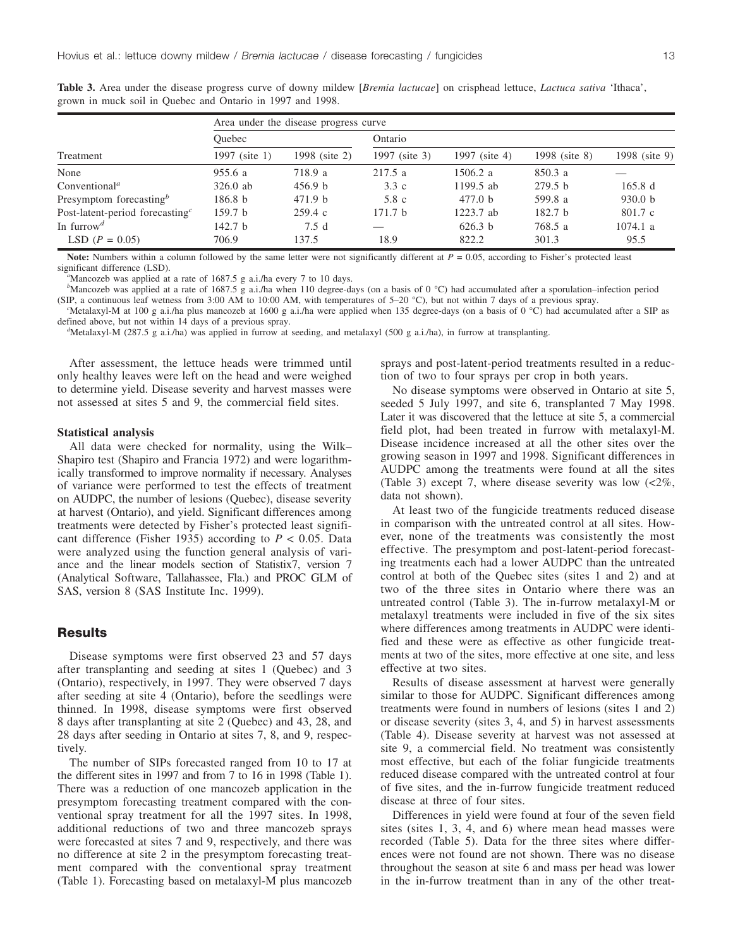|                                         | Area under the disease progress curve |                    |                    |                    |                    |               |  |  |
|-----------------------------------------|---------------------------------------|--------------------|--------------------|--------------------|--------------------|---------------|--|--|
|                                         | Ouebec                                |                    | Ontario            |                    |                    |               |  |  |
| Treatment                               | 1997 (site 1)                         | 1998 (site 2)      | 1997 (site 3)      | 1997 (site 4)      | 1998 (site 8)      | 1998 (site 9) |  |  |
| None                                    | 955.6 a                               | 718.9 a            | 217.5a             | 1506.2 a           | 850.3 a            |               |  |  |
| Conventional <sup><i>a</i></sup>        | $326.0$ ab                            | 456.9 <sub>b</sub> | 3.3c               | 1199.5 ab          | 279.5 h            | 165.8 d       |  |  |
| Presymptom forecasting $\mathfrak{g}^b$ | 186.8 <sub>b</sub>                    | 471.9 b            | 5.8c               | 477.0 <sub>b</sub> | 599.8 a            | 930.0 b       |  |  |
| Post-latent-period forecasting $c$      | 159.7 <sub>b</sub>                    | 259.4c             | 171.7 <sub>b</sub> | 1223.7 ab          | 182.7 <sub>b</sub> | 801.7 c       |  |  |
| In furrow <sup>d</sup>                  | 142.7 <sub>b</sub>                    | 7.5d               |                    | 626.3 b            | 768.5 a            | 1074.1 a      |  |  |
| LSD $(P = 0.05)$                        | 706.9                                 | 137.5              | 18.9               | 822.2              | 301.3              | 95.5          |  |  |

**Table 3.** Area under the disease progress curve of downy mildew [*Bremia lactucae*] on crisphead lettuce, *Lactuca sativa* 'Ithaca', grown in muck soil in Quebec and Ontario in 1997 and 1998.

**Note:** Numbers within a column followed by the same letter were not significantly different at  $P = 0.05$ , according to Fisher's protected least significant difference (LSD). *<sup>a</sup>*

<sup>a</sup>Mancozeb was applied at a rate of 1687.5 g a.i./ha every 7 to 10 days.

*b* Mancozeb was applied at a rate of 1687.5 g a.i./ha when 110 degree-days (on a basis of 0 °C) had accumulated after a sporulation–infection period (SIP, a continuous leaf wetness from 3:00 AM to 10:00 AM, with temperatures of 5–20 °C), but not within 7 days of a previous spray. *<sup>c</sup>*

"Metalaxyl-M at 100 g a.i./ha plus mancozeb at 1600 g a.i./ha were applied when 135 degree-days (on a basis of  $0^{\circ}$ C) had accumulated after a SIP as defined above, but not within 14 days of a previous spray. *<sup>d</sup>*

 $d$ Metalaxyl-M (287.5 g a.i./ha) was applied in furrow at seeding, and metalaxyl (500 g a.i./ha), in furrow at transplanting.

After assessment, the lettuce heads were trimmed until only healthy leaves were left on the head and were weighed to determine yield. Disease severity and harvest masses were not assessed at sites 5 and 9, the commercial field sites.

#### **Statistical analysis**

All data were checked for normality, using the Wilk– Shapiro test (Shapiro and Francia 1972) and were logarithmically transformed to improve normality if necessary. Analyses of variance were performed to test the effects of treatment on AUDPC, the number of lesions (Quebec), disease severity at harvest (Ontario), and yield. Significant differences among treatments were detected by Fisher's protected least significant difference (Fisher 1935) according to  $P < 0.05$ . Data were analyzed using the function general analysis of variance and the linear models section of Statistix7, version 7 (Analytical Software, Tallahassee, Fla.) and PROC GLM of SAS, version 8 (SAS Institute Inc. 1999).

## **Results**

Disease symptoms were first observed 23 and 57 days after transplanting and seeding at sites 1 (Quebec) and 3 (Ontario), respectively, in 1997. They were observed 7 days after seeding at site 4 (Ontario), before the seedlings were thinned. In 1998, disease symptoms were first observed 8 days after transplanting at site 2 (Quebec) and 43, 28, and 28 days after seeding in Ontario at sites 7, 8, and 9, respectively.

The number of SIPs forecasted ranged from 10 to 17 at the different sites in 1997 and from 7 to 16 in 1998 (Table 1). There was a reduction of one mancozeb application in the presymptom forecasting treatment compared with the conventional spray treatment for all the 1997 sites. In 1998, additional reductions of two and three mancozeb sprays were forecasted at sites 7 and 9, respectively, and there was no difference at site 2 in the presymptom forecasting treatment compared with the conventional spray treatment (Table 1). Forecasting based on metalaxyl-M plus mancozeb sprays and post-latent-period treatments resulted in a reduction of two to four sprays per crop in both years.

No disease symptoms were observed in Ontario at site 5, seeded 5 July 1997, and site 6, transplanted 7 May 1998. Later it was discovered that the lettuce at site 5, a commercial field plot, had been treated in furrow with metalaxyl-M. Disease incidence increased at all the other sites over the growing season in 1997 and 1998. Significant differences in AUDPC among the treatments were found at all the sites (Table 3) except 7, where disease severity was low (<2%, data not shown).

At least two of the fungicide treatments reduced disease in comparison with the untreated control at all sites. However, none of the treatments was consistently the most effective. The presymptom and post-latent-period forecasting treatments each had a lower AUDPC than the untreated control at both of the Quebec sites (sites 1 and 2) and at two of the three sites in Ontario where there was an untreated control (Table 3). The in-furrow metalaxyl-M or metalaxyl treatments were included in five of the six sites where differences among treatments in AUDPC were identified and these were as effective as other fungicide treatments at two of the sites, more effective at one site, and less effective at two sites.

Results of disease assessment at harvest were generally similar to those for AUDPC. Significant differences among treatments were found in numbers of lesions (sites 1 and 2) or disease severity (sites 3, 4, and 5) in harvest assessments (Table 4). Disease severity at harvest was not assessed at site 9, a commercial field. No treatment was consistently most effective, but each of the foliar fungicide treatments reduced disease compared with the untreated control at four of five sites, and the in-furrow fungicide treatment reduced disease at three of four sites.

Differences in yield were found at four of the seven field sites (sites 1, 3, 4, and 6) where mean head masses were recorded (Table 5). Data for the three sites where differences were not found are not shown. There was no disease throughout the season at site 6 and mass per head was lower in the in-furrow treatment than in any of the other treat-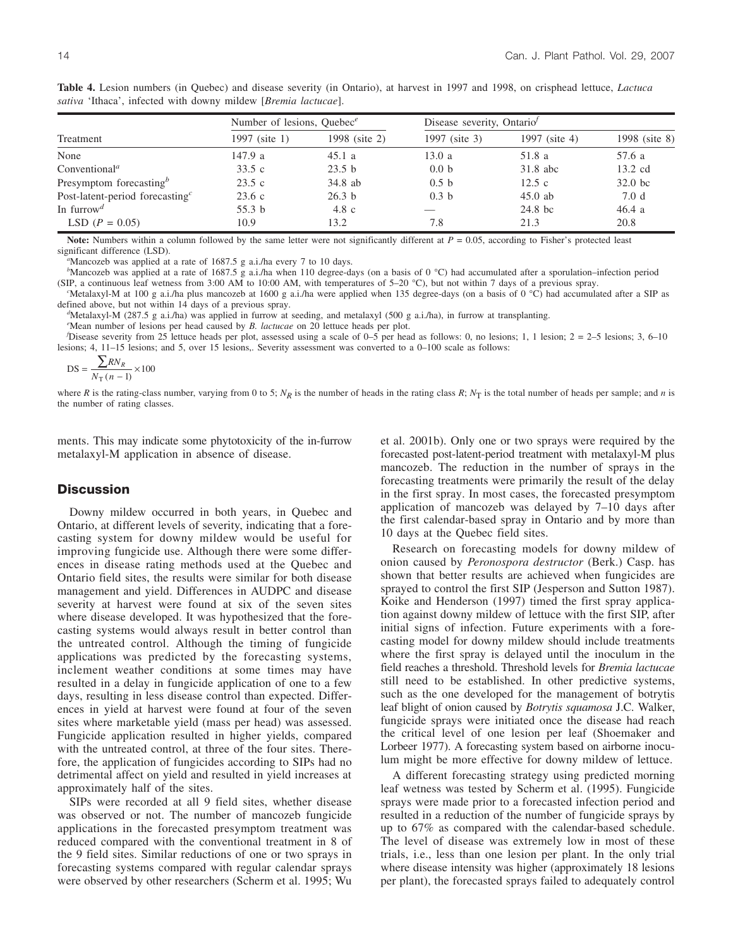|                                    | Number of lesions, Ouebec $e$ |                   | Disease severity, Ontario <sup>f</sup> |               |               |
|------------------------------------|-------------------------------|-------------------|----------------------------------------|---------------|---------------|
| Treatment                          | 1997 (site 1)                 | 1998 (site 2)     | 1997 (site 3)                          | 1997 (site 4) | 1998 (site 8) |
| None                               | 147.9a                        | 45.1a             | 13.0 a                                 | 51.8 a        | 57.6 a        |
| Conventional <sup><i>a</i></sup>   | 33.5c                         | 23.5 <sub>b</sub> | 0.0 <sub>b</sub>                       | $31.8$ abc    | 13.2 cd       |
| Presymptom forecasting $\phi$      | 23.5c                         | 34.8 ab           | 0.5 h                                  | 12.5c         | $32.0$ bc     |
| Post-latent-period forecasting $c$ | 23.6c                         | 26.3 <sub>b</sub> | 0.3 <sub>b</sub>                       | $45.0$ ab     | 7.0 d         |
| In furrow <sup><i>d</i></sup>      | 55.3 <sub>b</sub>             | $4.8\text{ c}$    |                                        | 24.8 bc       | 46.4a         |
| LSD $(P = 0.05)$                   | 10.9                          | 13.2              | 7.8                                    | 21.3          | 20.8          |

**Table 4.** Lesion numbers (in Quebec) and disease severity (in Ontario), at harvest in 1997 and 1998, on crisphead lettuce, *Lactuca sativa* 'Ithaca', infected with downy mildew [*Bremia lactucae*].

**Note:** Numbers within a column followed by the same letter were not significantly different at  $P = 0.05$ , according to Fisher's protected least significant difference (LSD). *<sup>a</sup>*

 $\alpha$ Mancozeb was applied at a rate of 1687.5 g a.i./ha every 7 to 10 days.

*b* Mancozeb was applied at a rate of 1687.5 g a.i./ha when 110 degree-days (on a basis of 0 °C) had accumulated after a sporulation–infection period (SIP, a continuous leaf wetness from 3:00 AM to 10:00 AM, with temperatures of 5–20 °C), but not within 7 days of a previous spray. *<sup>c</sup>*

"Metalaxyl-M at 100 g a.i./ha plus mancozeb at 1600 g a.i./ha were applied when 135 degree-days (on a basis of 0 °C) had accumulated after a SIP as defined above, but not within 14 days of a previous spray. *<sup>d</sup>*

 $d$ Metalaxyl-M (287.5 g a.i./ha) was applied in furrow at seeding, and metalaxyl (500 g a.i./ha), in furrow at transplanting.

*e* Mean number of lesions per head caused by *B. lactucae* on 20 lettuce heads per plot. *<sup>f</sup>*

Disease severity from 25 lettuce heads per plot, assessed using a scale of 0–5 per head as follows: 0, no lesions; 1, 1 lesion; 2 = 2–5 lesions; 3, 6–10 lesions; 4, 11–15 lesions; and 5, over 15 lesions,. Severity assessment was converted to a 0–100 scale as follows:

$$
DS = \frac{\sum RN_R}{N_{\rm T} (n-1)} \times 100
$$

where *R* is the rating-class number, varying from 0 to 5;  $N_R$  is the number of heads in the rating class *R*;  $N_T$  is the total number of heads per sample; and *n* is the number of rating classes.

ments. This may indicate some phytotoxicity of the in-furrow metalaxyl-M application in absence of disease.

# **Discussion**

Downy mildew occurred in both years, in Quebec and Ontario, at different levels of severity, indicating that a forecasting system for downy mildew would be useful for improving fungicide use. Although there were some differences in disease rating methods used at the Quebec and Ontario field sites, the results were similar for both disease management and yield. Differences in AUDPC and disease severity at harvest were found at six of the seven sites where disease developed. It was hypothesized that the forecasting systems would always result in better control than the untreated control. Although the timing of fungicide applications was predicted by the forecasting systems, inclement weather conditions at some times may have resulted in a delay in fungicide application of one to a few days, resulting in less disease control than expected. Differences in yield at harvest were found at four of the seven sites where marketable yield (mass per head) was assessed. Fungicide application resulted in higher yields, compared with the untreated control, at three of the four sites. Therefore, the application of fungicides according to SIPs had no detrimental affect on yield and resulted in yield increases at approximately half of the sites.

SIPs were recorded at all 9 field sites, whether disease was observed or not. The number of mancozeb fungicide applications in the forecasted presymptom treatment was reduced compared with the conventional treatment in 8 of the 9 field sites. Similar reductions of one or two sprays in forecasting systems compared with regular calendar sprays were observed by other researchers (Scherm et al. 1995; Wu

et al. 2001b). Only one or two sprays were required by the forecasted post-latent-period treatment with metalaxyl-M plus mancozeb. The reduction in the number of sprays in the forecasting treatments were primarily the result of the delay in the first spray. In most cases, the forecasted presymptom application of mancozeb was delayed by 7–10 days after the first calendar-based spray in Ontario and by more than 10 days at the Quebec field sites.

Research on forecasting models for downy mildew of onion caused by *Peronospora destructor* (Berk.) Casp. has shown that better results are achieved when fungicides are sprayed to control the first SIP (Jesperson and Sutton 1987). Koike and Henderson (1997) timed the first spray application against downy mildew of lettuce with the first SIP, after initial signs of infection. Future experiments with a forecasting model for downy mildew should include treatments where the first spray is delayed until the inoculum in the field reaches a threshold. Threshold levels for *Bremia lactucae* still need to be established. In other predictive systems, such as the one developed for the management of botrytis leaf blight of onion caused by *Botrytis squamosa* J.C. Walker, fungicide sprays were initiated once the disease had reach the critical level of one lesion per leaf (Shoemaker and Lorbeer 1977). A forecasting system based on airborne inoculum might be more effective for downy mildew of lettuce.

A different forecasting strategy using predicted morning leaf wetness was tested by Scherm et al. (1995). Fungicide sprays were made prior to a forecasted infection period and resulted in a reduction of the number of fungicide sprays by up to 67% as compared with the calendar-based schedule. The level of disease was extremely low in most of these trials, i.e., less than one lesion per plant. In the only trial where disease intensity was higher (approximately 18 lesions per plant), the forecasted sprays failed to adequately control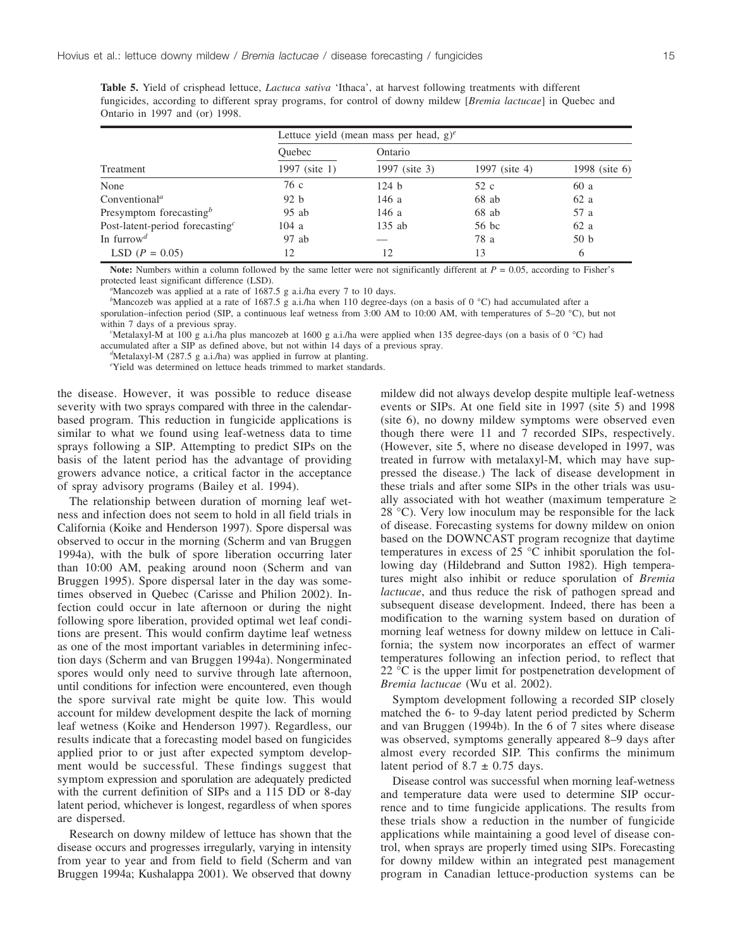|                                    | Lettuce yield (mean mass per head, $g$ ) <sup>e</sup> |               |               |                 |  |  |
|------------------------------------|-------------------------------------------------------|---------------|---------------|-----------------|--|--|
|                                    | Ouebec                                                | Ontario       |               |                 |  |  |
| Treatment                          | 1997 (site 1)                                         | 1997 (site 3) | 1997 (site 4) | 1998 (site 6)   |  |  |
| None                               | 76 c                                                  | 124 b         | 52 c          | 60 a            |  |  |
| Conventional <sup>a</sup>          | 92 b                                                  | 146 a         | $68$ ab       | 62a             |  |  |
| Presymptom forecasting $\phi$      | $95$ ab                                               | 146 a         | $68$ ab       | 57 a            |  |  |
| Post-latent-period forecasting $c$ | 104a                                                  | $135$ ab      | 56 bc         | 62 a            |  |  |
| In furrow <sup>d</sup>             | $97$ ab                                               |               | 78 a          | 50 <sub>b</sub> |  |  |
| LSD $(P = 0.05)$                   | 12                                                    | 12            | 13            | 6               |  |  |

**Table 5.** Yield of crisphead lettuce, *Lactuca sativa* 'Ithaca', at harvest following treatments with different fungicides, according to different spray programs, for control of downy mildew [*Bremia lactucae*] in Quebec and Ontario in 1997 and (or) 1998.

**Note:** Numbers within a column followed by the same letter were not significantly different at *P* = 0.05, according to Fisher's protected least significant difference (LSD). *<sup>a</sup>*

Mancozeb was applied at a rate of 1687.5 g a.i./ha every 7 to 10 days.

*b* Mancozeb was applied at a rate of 1687.5 g a.i./ha when 110 degree-days (on a basis of 0 °C) had accumulated after a sporulation–infection period (SIP, a continuous leaf wetness from 3:00 AM to 10:00 AM, with temperatures of 5–20 °C), but not

within 7 days of a previous spray.

Metalaxyl-M at 100 g a.i./ha plus mancozeb at 1600 g a.i./ha were applied when 135 degree-days (on a basis of 0 °C) had accumulated after a SIP as defined above, but not within 14 days of a previous spray. *<sup>d</sup>*

 $d$ Metalaxyl-M (287.5 g a.i./ha) was applied in furrow at planting.

*e* Yield was determined on lettuce heads trimmed to market standards.

the disease. However, it was possible to reduce disease severity with two sprays compared with three in the calendarbased program. This reduction in fungicide applications is similar to what we found using leaf-wetness data to time sprays following a SIP. Attempting to predict SIPs on the basis of the latent period has the advantage of providing growers advance notice, a critical factor in the acceptance of spray advisory programs (Bailey et al. 1994).

The relationship between duration of morning leaf wetness and infection does not seem to hold in all field trials in California (Koike and Henderson 1997). Spore dispersal was observed to occur in the morning (Scherm and van Bruggen 1994a), with the bulk of spore liberation occurring later than 10:00 AM, peaking around noon (Scherm and van Bruggen 1995). Spore dispersal later in the day was sometimes observed in Quebec (Carisse and Philion 2002). Infection could occur in late afternoon or during the night following spore liberation, provided optimal wet leaf conditions are present. This would confirm daytime leaf wetness as one of the most important variables in determining infection days (Scherm and van Bruggen 1994a). Nongerminated spores would only need to survive through late afternoon, until conditions for infection were encountered, even though the spore survival rate might be quite low. This would account for mildew development despite the lack of morning leaf wetness (Koike and Henderson 1997). Regardless, our results indicate that a forecasting model based on fungicides applied prior to or just after expected symptom development would be successful. These findings suggest that symptom expression and sporulation are adequately predicted with the current definition of SIPs and a 115 DD or 8-day latent period, whichever is longest, regardless of when spores are dispersed.

Research on downy mildew of lettuce has shown that the disease occurs and progresses irregularly, varying in intensity from year to year and from field to field (Scherm and van Bruggen 1994a; Kushalappa 2001). We observed that downy

mildew did not always develop despite multiple leaf-wetness events or SIPs. At one field site in 1997 (site 5) and 1998 (site 6), no downy mildew symptoms were observed even though there were 11 and 7 recorded SIPs, respectively. (However, site 5, where no disease developed in 1997, was treated in furrow with metalaxyl-M, which may have suppressed the disease.) The lack of disease development in these trials and after some SIPs in the other trials was usually associated with hot weather (maximum temperature  $\ge$ 28 °C). Very low inoculum may be responsible for the lack of disease. Forecasting systems for downy mildew on onion based on the DOWNCAST program recognize that daytime temperatures in excess of 25 °C inhibit sporulation the following day (Hildebrand and Sutton 1982). High temperatures might also inhibit or reduce sporulation of *Bremia lactucae*, and thus reduce the risk of pathogen spread and subsequent disease development. Indeed, there has been a modification to the warning system based on duration of morning leaf wetness for downy mildew on lettuce in California; the system now incorporates an effect of warmer temperatures following an infection period, to reflect that 22 °C is the upper limit for postpenetration development of *Bremia lactucae* (Wu et al. 2002).

Symptom development following a recorded SIP closely matched the 6- to 9-day latent period predicted by Scherm and van Bruggen (1994b). In the 6 of 7 sites where disease was observed, symptoms generally appeared 8–9 days after almost every recorded SIP. This confirms the minimum latent period of  $8.7 \pm 0.75$  days.

Disease control was successful when morning leaf-wetness and temperature data were used to determine SIP occurrence and to time fungicide applications. The results from these trials show a reduction in the number of fungicide applications while maintaining a good level of disease control, when sprays are properly timed using SIPs. Forecasting for downy mildew within an integrated pest management program in Canadian lettuce-production systems can be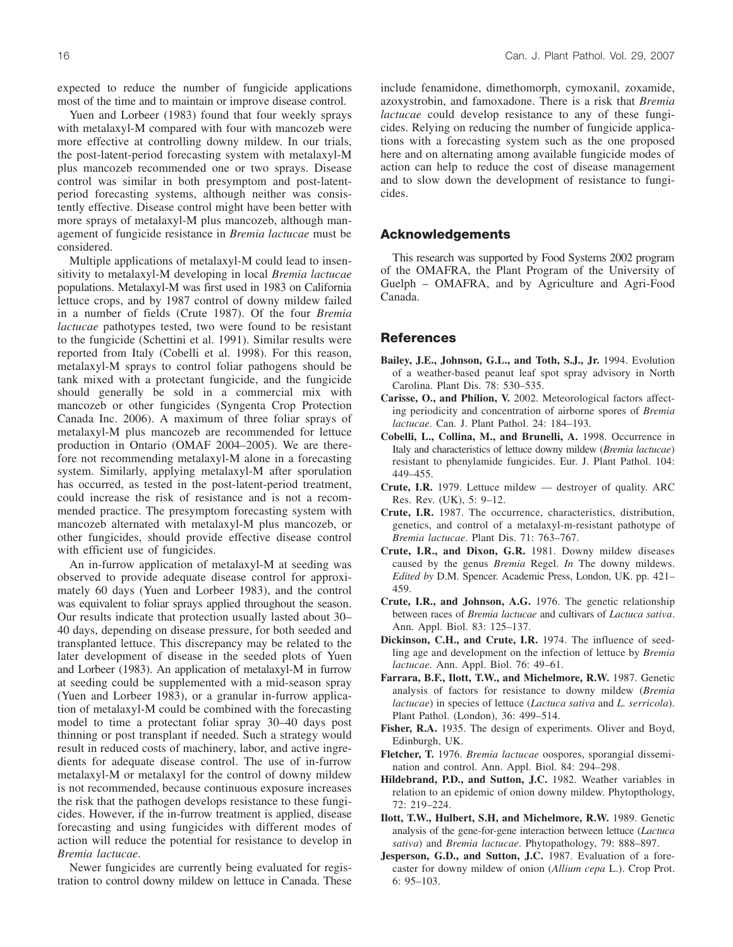expected to reduce the number of fungicide applications most of the time and to maintain or improve disease control.

Yuen and Lorbeer (1983) found that four weekly sprays with metalaxyl-M compared with four with mancozeb were more effective at controlling downy mildew. In our trials, the post-latent-period forecasting system with metalaxyl-M plus mancozeb recommended one or two sprays. Disease control was similar in both presymptom and post-latentperiod forecasting systems, although neither was consistently effective. Disease control might have been better with more sprays of metalaxyl-M plus mancozeb, although management of fungicide resistance in *Bremia lactucae* must be considered.

Multiple applications of metalaxyl-M could lead to insensitivity to metalaxyl-M developing in local *Bremia lactucae* populations. Metalaxyl-M was first used in 1983 on California lettuce crops, and by 1987 control of downy mildew failed in a number of fields (Crute 1987). Of the four *Bremia lactucae* pathotypes tested, two were found to be resistant to the fungicide (Schettini et al. 1991). Similar results were reported from Italy (Cobelli et al. 1998). For this reason, metalaxyl-M sprays to control foliar pathogens should be tank mixed with a protectant fungicide, and the fungicide should generally be sold in a commercial mix with mancozeb or other fungicides (Syngenta Crop Protection Canada Inc. 2006). A maximum of three foliar sprays of metalaxyl-M plus mancozeb are recommended for lettuce production in Ontario (OMAF 2004–2005). We are therefore not recommending metalaxyl-M alone in a forecasting system. Similarly, applying metalaxyl-M after sporulation has occurred, as tested in the post-latent-period treatment, could increase the risk of resistance and is not a recommended practice. The presymptom forecasting system with mancozeb alternated with metalaxyl-M plus mancozeb, or other fungicides, should provide effective disease control with efficient use of fungicides.

An in-furrow application of metalaxyl-M at seeding was observed to provide adequate disease control for approximately 60 days (Yuen and Lorbeer 1983), and the control was equivalent to foliar sprays applied throughout the season. Our results indicate that protection usually lasted about 30– 40 days, depending on disease pressure, for both seeded and transplanted lettuce. This discrepancy may be related to the later development of disease in the seeded plots of Yuen and Lorbeer (1983). An application of metalaxyl-M in furrow at seeding could be supplemented with a mid-season spray (Yuen and Lorbeer 1983), or a granular in-furrow application of metalaxyl-M could be combined with the forecasting model to time a protectant foliar spray 30–40 days post thinning or post transplant if needed. Such a strategy would result in reduced costs of machinery, labor, and active ingredients for adequate disease control. The use of in-furrow metalaxyl-M or metalaxyl for the control of downy mildew is not recommended, because continuous exposure increases the risk that the pathogen develops resistance to these fungicides. However, if the in-furrow treatment is applied, disease forecasting and using fungicides with different modes of action will reduce the potential for resistance to develop in *Bremia lactucae*.

Newer fungicides are currently being evaluated for registration to control downy mildew on lettuce in Canada. These include fenamidone, dimethomorph, cymoxanil, zoxamide, azoxystrobin, and famoxadone. There is a risk that *Bremia lactucae* could develop resistance to any of these fungicides. Relying on reducing the number of fungicide applications with a forecasting system such as the one proposed here and on alternating among available fungicide modes of action can help to reduce the cost of disease management and to slow down the development of resistance to fungicides.

## **Acknowledgements**

This research was supported by Food Systems 2002 program of the OMAFRA, the Plant Program of the University of Guelph – OMAFRA, and by Agriculture and Agri-Food Canada.

## **References**

- **Bailey, J.E., Johnson, G.L., and Toth, S.J., Jr.** 1994. Evolution of a weather-based peanut leaf spot spray advisory in North Carolina. Plant Dis. 78: 530–535.
- **Carisse, O., and Philion, V.** 2002. Meteorological factors affecting periodicity and concentration of airborne spores of *Bremia lactucae*. Can. J. Plant Pathol. 24: 184–193.
- **Cobelli, L., Collina, M., and Brunelli, A.** 1998. Occurrence in Italy and characteristics of lettuce downy mildew (*Bremia lactucae*) resistant to phenylamide fungicides. Eur. J. Plant Pathol. 104: 449–455.
- **Crute, I.R.** 1979. Lettuce mildew destroyer of quality. ARC Res. Rev. (UK), 5: 9–12.
- **Crute, I.R.** 1987. The occurrence, characteristics, distribution, genetics, and control of a metalaxyl-m-resistant pathotype of *Bremia lactucae*. Plant Dis. 71: 763–767.
- **Crute, I.R., and Dixon, G.R.** 1981. Downy mildew diseases caused by the genus *Bremia* Regel. *In* The downy mildews. *Edited by* D.M. Spencer. Academic Press, London, UK. pp. 421– 459.
- **Crute, I.R., and Johnson, A.G.** 1976. The genetic relationship between races of *Bremia lactucae* and cultivars of *Lactuca sativa*. Ann. Appl. Biol. 83: 125–137.
- **Dickinson, C.H., and Crute, I.R.** 1974. The influence of seedling age and development on the infection of lettuce by *Bremia lactucae*. Ann. Appl. Biol. 76: 49–61.
- **Farrara, B.F., Ilott, T.W., and Michelmore, R.W.** 1987. Genetic analysis of factors for resistance to downy mildew (*Bremia lactucae*) in species of lettuce (*Lactuca sativa* and *L. serricola*). Plant Pathol. (London), 36: 499–514.
- **Fisher, R.A.** 1935. The design of experiments. Oliver and Boyd, Edinburgh, UK.
- **Fletcher, T.** 1976. *Bremia lactucae* oospores, sporangial dissemination and control. Ann. Appl. Biol. 84: 294–298.
- **Hildebrand, P.D., and Sutton, J.C.** 1982. Weather variables in relation to an epidemic of onion downy mildew. Phytopthology, 72: 219–224.
- **Ilott, T.W., Hulbert, S.H, and Michelmore, R.W.** 1989. Genetic analysis of the gene-for-gene interaction between lettuce (*Lactuca sativa*) and *Bremia lactucae*. Phytopathology, 79: 888–897.
- **Jesperson, G.D., and Sutton, J.C.** 1987. Evaluation of a forecaster for downy mildew of onion (*Allium cepa* L.). Crop Prot. 6: 95–103.